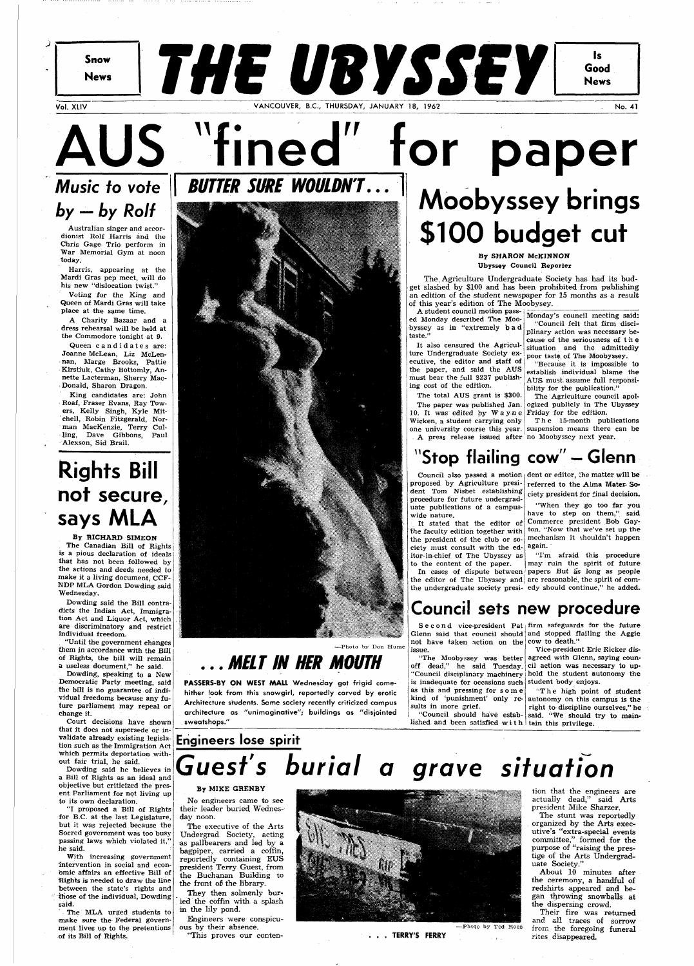**Snow** 

**News** 

Vol. XLIV No. 11 No. 21 No. 21 No. 21 No. 21 No. 21 No. 21 No. 21 No. 21 No. 21 No. 21 No. 21 No. 21 No. 21 No

**THE UBYSSEY** 

 $\mathbf{I}$ 

Good

**News** 

AUS "fined" for paper **Music to vote by - by Rolf** 

Australian singer and accordionist Rolf Harris and the Chris Gage Trio perform in War Memorial Gym at noon today.

Harris, appearing at the Mardi Gras pep meet, will do his new "dislocation twist."

Queen candidates are: Joanne McLean, Liz McLennan, Marge Brooks, Pattie Kirstiuk, Cathy Bottomly, Annette Lacterman, Sherry Mac-Donald, Sharon Dragon.

Voting for the King and Queen of Mardi Gras will take place at the same time.

A Charity Bazaar and a dress rehearsal will be held at the Commodore tonight at 9.

King candidates are: John Roaf, Fraser Evans, Ray Towers, Kelly Singh, Kyle Mitchell, Robin Fitzgerald, Norman MacKenzie, Terry Culling, Dave Gibbons, Paul Alexson, Sid Brail.

## **Rights Bill not secure, says MLA**

By RICHARD SIMEON The Canadian Bill of Rights is a pious declaration of ideals that has not been followed by the actions and deeds needed to make it a living document, CCF-NDP MLA Gordon Dowding said Wednesday.

Dowding said the Bill contradicts the Indian Act, Immigration Act and Liquor Act, which are discriminatory and restrict individual freedom.

. "Until the government changes them in accordance with the Bill of Rights, the bill will remain a useless document," he said.

A student council motion passed Monday described The Moobyssey as in "extremely ba d taste.'

Dowding, speaking to a New Democratic Party meeting, said the bill is no guarantee of individual freedoms because any future parliament may repeal or



change it.

Court decisions have shown that it does not supersede or invalidate already existing legislation such as the Immigration Act which permits deportation without fair trial, he said.

The paper was published Jan. ogized publicly in The Ubyssey The Agriculture council apol-

The 15-month publications

Dowding said he believes in a Bill of Rights as an ideal and objective but criticized the present Parliament for not living up to its own declaration.

"I proposed a Bill of Rights for B.C. at the last Legislature, but it was rejected because the Socred government was too busy passing laws which violated it," he said.

the faculty edition together with  $\vert$  ton. "Now that we've set up the the president of the club or society must consult with the ed- again. itor-in-chief of The Ubyssey as

With increasing government intervention in social and economic affairs an effective Bill of Rights is needed to draw the line between the state's rights and those of the individual, Dowding said.

Council also passed a motion dent or editor, the matter will be referred to the Alma Mater- Society president for final decision.

The MLA urged students to make sure the Federal government lives up to the pretentions of its Bill of Rights.

"Council should have estab- said. "We should try to mainlished and been satisfied with tain this privilege.

It stated that the editor of Commerce president Bob Gay-"When they go too far you have to step on them," said mechanism it shouldn't happen

**BUTTER SURE WOULDN'T.** 

In cases of dispute between papers- But as long as people the editor of The Ubyssey and are reasonable, the spirit of comthe undergraduate society presi-edy should continue," he added.

# **Moobyssey brings \$100 budget cut**

By SHARON McKINNON Ubyssey Council Reporter

not have taken action on the cow to death." issue.

The. Agriculture Undergraduate Society has had its budget slashed by \$100 and has been prohibited from publishing an edition of the student newspaper for 15 months as a result of this year's edition of The Moobysey.

off dead," he said Tuesday. cil action was necessary to up-"Council disciplinary machinery hold the student autonomy the is inadequate for occasions such student body enjoys. as this and pressing for  $s$  o m e  $\vert$  "The high point of student kind of 'punishment' only re-autonomy on this campus is the

It also censured the Agriculture Undergraduate Society executive, the editor and staff of the paper, and said the AUS must bear the full \$237 publishing cost of the edition.

They then solmenly buried the coffin with a splash in the lily pond.

Monday's council meeting said: "Council felt that firm disciplinary action was necessary because of the seriousness of th e situation and the admittedly poor taste of The Moobyssey.

The total AUS grant is \$300. 10. It was edited by Wayne Friday for the edition. Wicken, a student carrying only one university course this year. suspension means there can be . A press release issued after no Moobyssey next year.

> Their fire was returned and all traces of sorrow from the foregoing funeral rites disappeared.

"Because it is impossible to establish individual blame the AUS must: assume full responsibility for the publication."

## **"Stop flailing cow" — Glenn**

## —Photo by Don Hume **... MELT IN HER MOUTH**

**PASSERS-BY ON WEST MALL** Wednesday got frigid comehither look from this snowgirl, reportedly carved by erotic Architecture students. Some society recently criticized campus architecture as "unimaginative"; buildings as "disjointed . sweatshops."

proposed by Agriculture president Tom Nisbet establishing procedure for future undergraduate publications of a campuswide nature.

to the content of the paper. may ruin the spirit of future "I'm afraid this procedure

 $S$ econd vice-president Pat firm safeguards for the future Glenn said that council should and stopped flailing the Aggie

## **Council sets new procedure**

"The Moobyssey was better agreed with Glenn, saying coun-Vice-president Eric Ricker dis-

right to discipline ourselves,'

sults in more grief.

## **Engineers lose spirit Guest's burial a grave situation**

### By MIKE GRENBY

No engineers came to see their leader buried Wednesday noon.

The executive of the Arts Undergrad Society, acting as pallbearers and led by a bagpiper, carried a coffin, reportedly containing EUS president Terry Guest, from the Buchanan Building to the front of the library.

Engineers were conspicuous by their absence.

"This proves our conten-



tion that the engineers are actually dead," said Arts president Mike Sharzer.

The stunt was reportedly organized by the Arts executive's "extra-special events committee," formed for the purpose of "raising the prestige of the Arts Undergraduate Society."

About 10 minutes after the ceremony, a handful of redshirts appeared and began throwing snowballs at the dispersing crowd.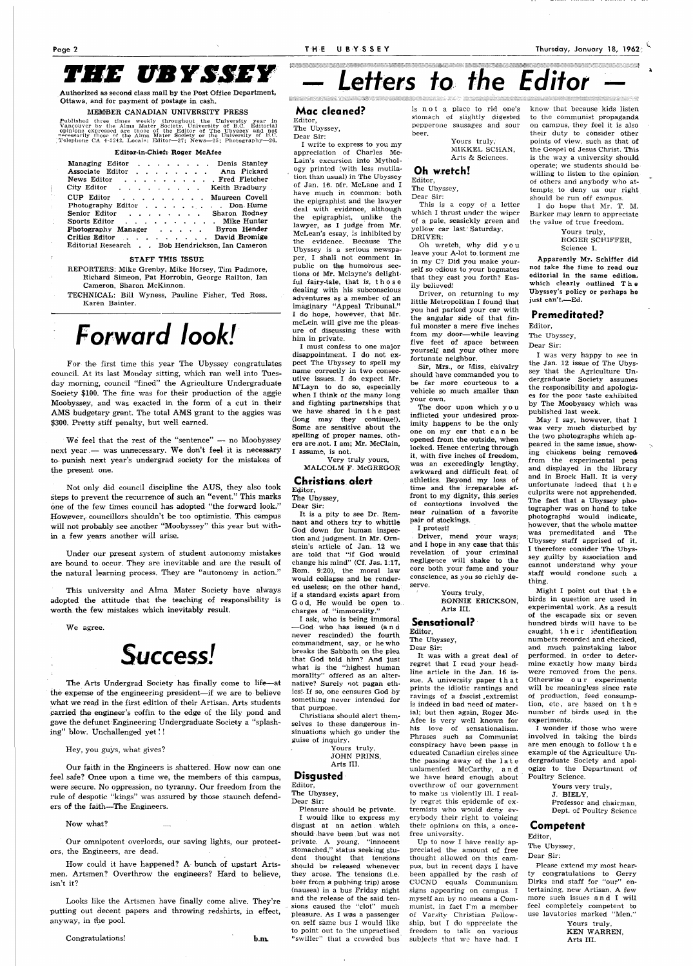## *THE UBYSSEY*

Authorized as second class mail by the Post Office Department, Ottawa, and for payment of postage in cash.

### MEMBER CANADIAN UNIVERSITY PRESS

Published three times weekly throughout the University year in Vancouver by the Alma Mater Society, University of B.C. Editorial opinions expressed are those of the Editor of The Ubyssey and not mecessarily those of the A

### Editor-in-Chief: Roger McAfee

| Managing Editor Denis Stanley<br>Associate Editor Ann Pickard<br>and Fletcher and Teacher and Teacher<br>News Editor<br>$City$ Editor $\ldots$ $\ldots$ $\ldots$                                                                         | Keith Bradbury |
|------------------------------------------------------------------------------------------------------------------------------------------------------------------------------------------------------------------------------------------|----------------|
| CUP Editor<br>. Maureen Covell<br>Photography Editor Don Hume<br>. Sharon Rodney<br>Senior Editor<br>Sports Editor Mike Hunter<br>Photography Manager<br>Critics Editor David Bromige<br>Editorial Research Bob Hendrickson, Ian Cameron | Byron Hender   |

#### STAFF THIS ISSUE

REPORTERS: Mike Grenby, Mike Horsey, Tim Padmore, Richard Simeon, Pat Horrobin, George Railton, Ian Cameron, Sharon McKinnon.

TECHNICAL: Bill Wyness, Pauline Fisher, Ted Ross, Karen Bainter.

## *Forward look!*

For the first time this year The Ubyssey congratulates council. At its last Monday sitting, which ran well into Tuesday morning, council "fined" the Agriculture Undergraduate Society \$100. The fine was for their production of the aggie Moobyssey, and was exacted in the form of a cut in their AMS budgetary grant. The total AMS grant to the aggies was \$300. Pretty stiff penalty, but well earned.

We feel that the rest of the "sentence"  $-$  no Moobyssey next year — was unnecessary. We don't feel it is necessary to punish next year's undergrad society for the mistakes of the present one.

Not only did council discipline the AUS, they also took steps to prevent the recurrence of such an "event." This marks one of the few times council has adopted "the forward look." However, councillors shouldn't be too optimistic. This campus will not probably see another "Moobyssey" this year but within a few years another will arise.

Under our present system of student autonomy mistakes are bound to occur. They are inevitable and are the result of the natural learning process. They are "autonomy in action."

This university and Alma Mater Society have always adopted the attitude that the teaching of responsibility is worth the few mistakes which inevitably result.

Our faith in the Engineers is shattered. How now can one feel safe? Once upon a time we, the members of this campus, were secure. No oppression, no tyranny. Our freedom from the rule of despotic "kings" was assured by those staunch defenders of the faitih—The Engineers.

### Now what?

Our omnipotent overlords, our saving lights, our protectors, the Engineers, are dead.

How could it have happened? A bunch of upstart Artsmen. Artsmen? Overthrow the engineers? Hard to believe, isn't it?

Looks like the Artsmen have finally come alive. They're putting out decent papers and throwing redshirts, in effect, anyway, in the pool.

It is a pity to see Dr. Remnant and others try to whittle God down for human inspection and judgment. In Mr. Ornstein's article of Jan. 12 we are told that "if God would change his mind" (Cf. Jas. 1:17, Rom. 9:20), the moral law would collapse and be rendered useless; on the other hand, if a standard exists apart from God, He would be open to. charges of "immorality."

# *Letters to the Editor*

a ang pag-ang ang pag-ang pag-ang pag-ang pag-ang pag-ang pag-ang pag-ang pag-ang pag-ang pag-ang pag-ang pag-

We agree.



The Arts Undergrad Society has finally come to life—at the expense of the engineering president—if we are to believe what we read in the first edition of their Artisan. Arts students carried the engineer's coffin to the edge of the lily pond and gave the defunct Engineering Undergraduate Society a "splashing" blow. Unchallenged yet!!

> Pleasure should be private. I would like to express my disgust at an action which should.have been but was not private. A young, "innocent stomached," status seeking student thought that tensions should be released whenever they arose. The tensions (i.e. beer from a pubbing trip) arose (nausea) in a bus Friday night and the release of the said tensions caused the "clot" much pleasure. As I was a passenger on self same bus I would like to point out to the unpractised "swiller" that a crowded bus

### Congratulations! **b.m.**

## **Mac cleaned?**

Editor, The Ubyssey,

Dear Sir: I write to express to you my

> Driver, mend your ways; and I hope in any case that this revelation of your criminal negligence will shake to the core both your fame and your conscience, as you so richly deserve.

appreciation of Charles Mc-Lain's excursion into Mythology printed (with less mutilation than usual) in The Ubyssey of Jan. 16. Mr. McLane and I have much in common: both the epigraphist and the lawyer deal with evidence, although the epigraphist, unlike the lawyer, as I judge from Mr. McLean's essay, is inhibited by the evidence. Because The Ubyssey is a serious newspaper, I shall not comment in public on the humorous sections of Mr. Mclayne's delightful fairy-tale, that is, thos e dealing with his subconscious adventures as a member of an imaginary "Appeal Tribunal." I do hope, however, that Mr. mcLein will give me the pleasure of discussing these with him in private.

I must confess to one major disappointment. I do not expect The Ubyssey to spell my name correctly in two consecutive issues. I do expect Mr. M'Layn to do so, especially when I think of the many long and fighting partnerships that we have shared in th e past (long may they continue!). Some are sensitive about the spelling of proper names, others are not. I am; Mr. McClain, I assume, is not.

Yours truly, ROGER SCHIFFER, Science I.

Very truly yours, MALCOLM F. McGREGOR

## **Christians alert<sup>1</sup>**

Editor, The Ubyssey,

Dear Sir:

I ask, who is being immoral —God who has issued (an d never rescinded) the fourth commandment, say, or he who breaks the Sabbath on the plea that God told him? And just what is the "highest human morality" offered as an alternative? Surely not pagan ethics!- If so, one censures God by something never intended for that purpose.

Christians should alert themselves to these dangerous insinuations which go under the guise of inquiry.

> Yours truly, JOHN PRINS, Arts III.

## **Disgusted**

Editor,

The Ubyssey,

Dear Sir:

Yours truly, KEN WARREN, Arts III.

is no t a place to rid one's stomach of slightly digested pepperone sausages and sour beer.

> Yours truly, MIKKEL SCHAN, Arts & Sciences.

## **Oh wretch!**

Editor, The Ubyssey, Dear Sir:

This is a copy of a letter which I thrust under the wiper of a pale, seasickly green and yellow car last" Saturday. DRIVER:

Oh wretch, why did yo u leave your A-lot to torment me in my C? Did you make yourself so odious to your bogmates that they cast you forth? Easily believed!

Driver, on returning to my little Metropolitan I found that you had parked your car with the angular side of that finfui monster a mere five inches from my door—while leaving five feet of space between yourself and your other more fortunate neighbor.

Sir, Mrs., or Miss, chivalry should have commanded you to be far more courteous to a vehicle so much smaller than your own.

The door upon which yo u inflicted your undesired proximity happens to be the only one on my car that c a n be opened from the outside, when locked. Hence entering through it, with five inches of freedom, was an exceedingly lengthy, awkward and difficult feat of athletics. Beyond my loss of time and the irreparable affront to my dignity, this.series of contortions involved the near ruination of a favorite pair of stockings.

I protest!

Yours truly, BONNIE ERICKSON, Arts III.

### **Sensational?**

Editor, The Ubyssey, Dear Sir:

It was with a great deal of regret that I read your headline article in the Jan. 16 issue. A university paper tha t prints the idiotic rantings and ravings of a fascist .extremist is indeed in bad need of mater-

ial; but then again, Roger Mc-Afee is very well known for his love of sensationalism. Phrases such as Communist conspiracy have been passe in educated Canadian circles since the passing away of the lat e unlamented McCarthy, an d we have heard enough about overthrow of our government to make us violently ill. I really regret this epidemic of extremists who would deny everybody their right to voicing their opinions on this, a oncefree university.

Up to now I have really appreciated the amount of free thought allowed on this campus, but in recent days I have been appalled by the rash of CUCND equals Communism signs appearing on campus. I myself am by no means a Communist, in fact I'm a member of Varsity Christian Fellowship, but I do appreciate the freedom to talk on various subjects that we have had. I

know that because kids listen to the communist propaganda on campus, they feel it is also their duty to consider other points of view, such as that of the Gospel of Jesus Christ. This is the way a university should operate; we students should be willing to listen to the opinion. of others and anybody who attempts to deny us our right should be run off campus.

I do hope that Mr. T. M. Barker may learn to appreciate the value of true freedom.

Apparently Mr. Schiffer did not take the time to read our editorial in the same edition, which clearly outlined Th e Ubyssey's policy or perhaps he just can't.—Ed.

## **Premeditated?**

Editor,

The Ubyssey,

Dear Sir:

I was very happy to see in the Jan. 12 issue of The Ubyssey that the Agriculture Undergraduate Society assumes the responsibility and apologizes for the poor taste exhibited by The Moobyssey which was published last week.

May I say, however, that 1 was very much disturbed by the two photographs which appeared in the same issue, showing chickens being removed from the experimental pens and displayed in the library and in Brock Hall. It is very unfortunate indeed that th e culprits were not apprehended. The fact that a Ubyssey photographer was on hand to take photographs' would indicate, however, that the whole matter was premeditated and The Ubyssey staff apprised of it. I therefore consider The Ubyssey guilty by association and cannot understand why your staff would condone such a thing.

Might I point out that th e birds in question are used in experimental work. As a result of the escapade six or seven hundred birds will have to be caught, their identification numbers recorded and checked, and much painstaking labor performed, in order to determine exactly how many birds were removed from the pens. Otherwise our experiments will be meaningless since rate of production, feed consumption, etc , are based on th e

Hey, you guys, what gives?

number of birds used in the experiments.

I wonder if those who were involved in taking the birds are men enough to follow th e example of the Agriculture Undergraduate Society and apologize to the Department of Poultry Science.

> Yours very truly, J. BIELY, Professor and chairman, Dept. of Poultry Science

## **Competent**

Editor,

The Ubyssey,

Dear Sir:

Please extend my most hearty congratulations to Gerry Dirks and staff for "our" entertaining, new Artisan. A few more such issues an d I will feel completely competent to use lavatories marked "Men."